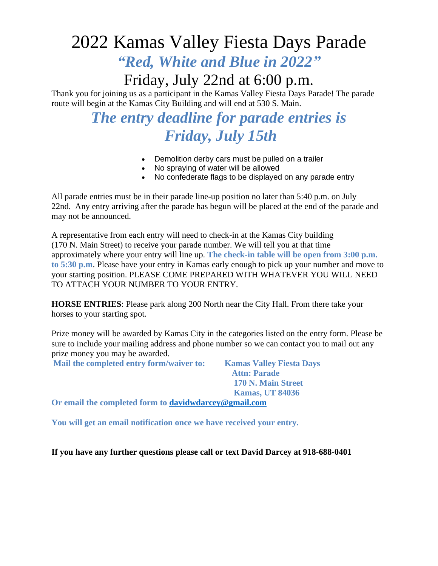# 2022 Kamas Valley Fiesta Days Parade *"Red, White and Blue in 2022"*

## Friday, July 22nd at 6:00 p.m.

Thank you for joining us as a participant in the Kamas Valley Fiesta Days Parade! The parade route will begin at the Kamas City Building and will end at 530 S. Main.

## *The entry deadline for parade entries is Friday, July 15th*

- Demolition derby cars must be pulled on a trailer
- No spraying of water will be allowed
- No confederate flags to be displayed on any parade entry

All parade entries must be in their parade line-up position no later than 5:40 p.m. on July 22nd. Any entry arriving after the parade has begun will be placed at the end of the parade and may not be announced.

A representative from each entry will need to check-in at the Kamas City building (170 N. Main Street) to receive your parade number. We will tell you at that time approximately where your entry will line up. **The check-in table will be open from 3:00 p.m. to 5:30 p.m**. Please have your entry in Kamas early enough to pick up your number and move to your starting position. PLEASE COME PREPARED WITH WHATEVER YOU WILL NEED TO ATTACH YOUR NUMBER TO YOUR ENTRY.

**HORSE ENTRIES**: Please park along 200 North near the City Hall. From there take your horses to your starting spot.

Prize money will be awarded by Kamas City in the categories listed on the entry form. Please be sure to include your mailing address and phone number so we can contact you to mail out any prize money you may be awarded.

**Mail the completed entry form/waiver to: Kamas Valley Fiesta Days**

 **Attn: Parade 170 N. Main Street Kamas, UT 84036**

**Or email the completed form to [davidwdarcey@gmail.com](mailto:davidwdarcey@gmail.com)**

**You will get an email notification once we have received your entry.** 

**If you have any further questions please call or text David Darcey at 918-688-0401**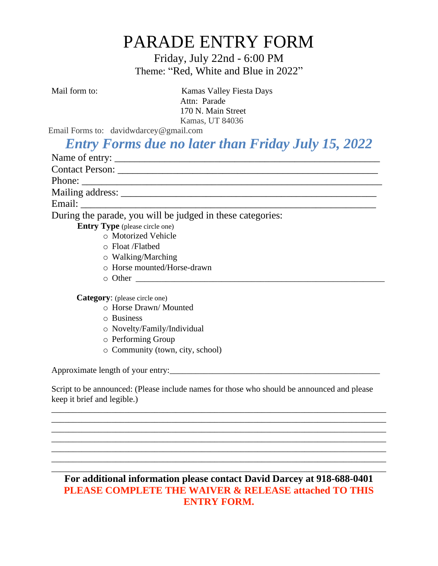# PARADE ENTRY FORM

Friday, July 22nd - 6:00 PM Theme: "Red, White and Blue in 2022"

Kamas Valley Fiesta Days Attn: Parade 170 N. Main Street Kamas, UT 84036

Email Forms to: davidwdarcey@gmail.com

### *Entry Forms due no later than Friday July 15, 2022*

| During the parade, you will be judged in these categories: |
|------------------------------------------------------------|
| <b>Entry Type</b> (please circle one)                      |
| o Motorized Vehicle                                        |
| $\circ$ Float /Flatbed                                     |
| $\circ$ Walking/Marching                                   |
| o Horse mounted/Horse-drawn                                |
|                                                            |
| <b>Category:</b> (please circle one)                       |
| o Horse Drawn/Mounted                                      |
| o Business                                                 |
| $\circ$ Novelty/Family/Individual                          |
| o Performing Group                                         |
| o Community (town, city, school)                           |
| Approximate length of your entry:                          |

Script to be announced: (Please include names for those who should be announced and please keep it brief and legible.)

\_\_\_\_\_\_\_\_\_\_\_\_\_\_\_\_\_\_\_\_\_\_\_\_\_\_\_\_\_\_\_\_\_\_\_\_\_\_\_\_\_\_\_\_\_\_\_\_\_\_\_\_\_\_\_\_\_\_\_\_\_\_\_\_\_\_\_\_\_\_\_\_\_\_\_\_\_\_ \_\_\_\_\_\_\_\_\_\_\_\_\_\_\_\_\_\_\_\_\_\_\_\_\_\_\_\_\_\_\_\_\_\_\_\_\_\_\_\_\_\_\_\_\_\_\_\_\_\_\_\_\_\_\_\_\_\_\_\_\_\_\_\_\_\_\_\_\_\_\_\_\_\_\_\_\_\_ \_\_\_\_\_\_\_\_\_\_\_\_\_\_\_\_\_\_\_\_\_\_\_\_\_\_\_\_\_\_\_\_\_\_\_\_\_\_\_\_\_\_\_\_\_\_\_\_\_\_\_\_\_\_\_\_\_\_\_\_\_\_\_\_\_\_\_\_\_\_\_\_\_\_\_\_\_\_ \_\_\_\_\_\_\_\_\_\_\_\_\_\_\_\_\_\_\_\_\_\_\_\_\_\_\_\_\_\_\_\_\_\_\_\_\_\_\_\_\_\_\_\_\_\_\_\_\_\_\_\_\_\_\_\_\_\_\_\_\_\_\_\_\_\_\_\_\_\_\_\_\_\_\_\_\_\_ \_\_\_\_\_\_\_\_\_\_\_\_\_\_\_\_\_\_\_\_\_\_\_\_\_\_\_\_\_\_\_\_\_\_\_\_\_\_\_\_\_\_\_\_\_\_\_\_\_\_\_\_\_\_\_\_\_\_\_\_\_\_\_\_\_\_\_\_\_\_\_\_\_\_\_\_\_\_ \_\_\_\_\_\_\_\_\_\_\_\_\_\_\_\_\_\_\_\_\_\_\_\_\_\_\_\_\_\_\_\_\_\_\_\_\_\_\_\_\_\_\_\_\_\_\_\_\_\_\_\_\_\_\_\_\_\_\_\_\_\_\_\_\_\_\_\_\_\_\_\_\_\_\_\_\_\_ \_\_\_\_\_\_\_\_\_\_\_\_\_\_\_\_\_\_\_\_\_\_\_\_\_\_\_\_\_\_\_\_\_\_\_\_\_\_\_\_\_\_\_\_\_\_\_\_\_\_\_\_\_\_\_\_\_\_\_\_\_\_\_\_\_\_\_\_\_\_\_\_\_\_\_\_\_\_

#### **For additional information please contact David Darcey at 918-688-0401 PLEASE COMPLETE THE WAIVER & RELEASE attached TO THIS ENTRY FORM.**